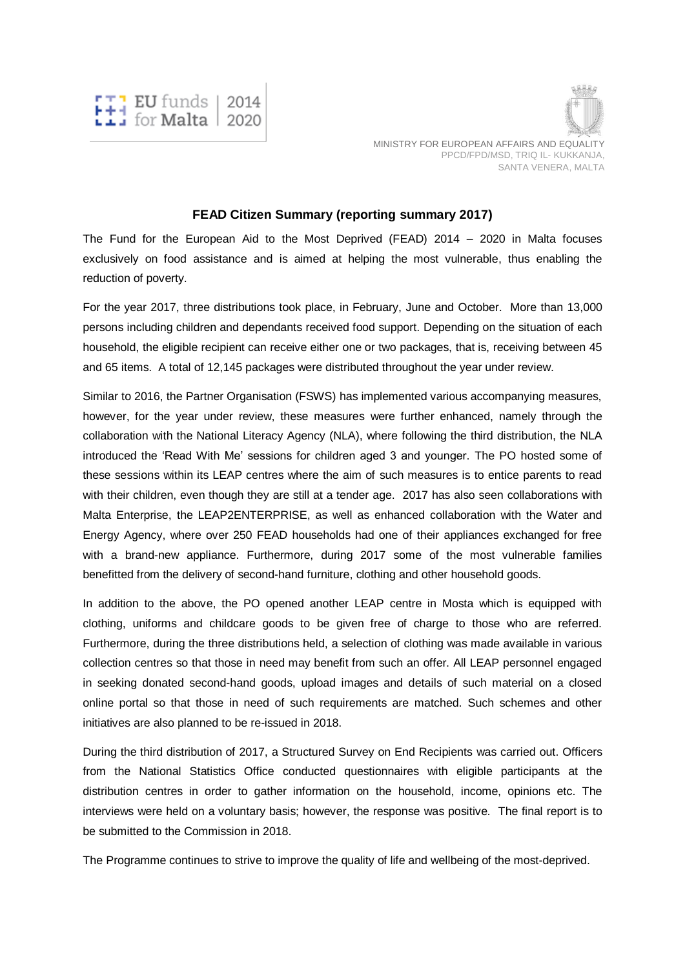



## **FEAD Citizen Summary (reporting summary 2017)**

The Fund for the European Aid to the Most Deprived (FEAD) 2014 – 2020 in Malta focuses exclusively on food assistance and is aimed at helping the most vulnerable, thus enabling the reduction of poverty.

For the year 2017, three distributions took place, in February, June and October. More than 13,000 persons including children and dependants received food support. Depending on the situation of each household, the eligible recipient can receive either one or two packages, that is, receiving between 45 and 65 items. A total of 12,145 packages were distributed throughout the year under review.

Similar to 2016, the Partner Organisation (FSWS) has implemented various accompanying measures, however, for the year under review, these measures were further enhanced, namely through the collaboration with the National Literacy Agency (NLA), where following the third distribution, the NLA introduced the 'Read With Me' sessions for children aged 3 and younger. The PO hosted some of these sessions within its LEAP centres where the aim of such measures is to entice parents to read with their children, even though they are still at a tender age. 2017 has also seen collaborations with Malta Enterprise, the LEAP2ENTERPRISE, as well as enhanced collaboration with the Water and Energy Agency, where over 250 FEAD households had one of their appliances exchanged for free with a brand-new appliance. Furthermore, during 2017 some of the most vulnerable families benefitted from the delivery of second-hand furniture, clothing and other household goods.

In addition to the above, the PO opened another LEAP centre in Mosta which is equipped with clothing, uniforms and childcare goods to be given free of charge to those who are referred. Furthermore, during the three distributions held, a selection of clothing was made available in various collection centres so that those in need may benefit from such an offer. All LEAP personnel engaged in seeking donated second-hand goods, upload images and details of such material on a closed online portal so that those in need of such requirements are matched. Such schemes and other initiatives are also planned to be re-issued in 2018.

During the third distribution of 2017, a Structured Survey on End Recipients was carried out. Officers from the National Statistics Office conducted questionnaires with eligible participants at the distribution centres in order to gather information on the household, income, opinions etc. The interviews were held on a voluntary basis; however, the response was positive. The final report is to be submitted to the Commission in 2018.

The Programme continues to strive to improve the quality of life and wellbeing of the most-deprived.